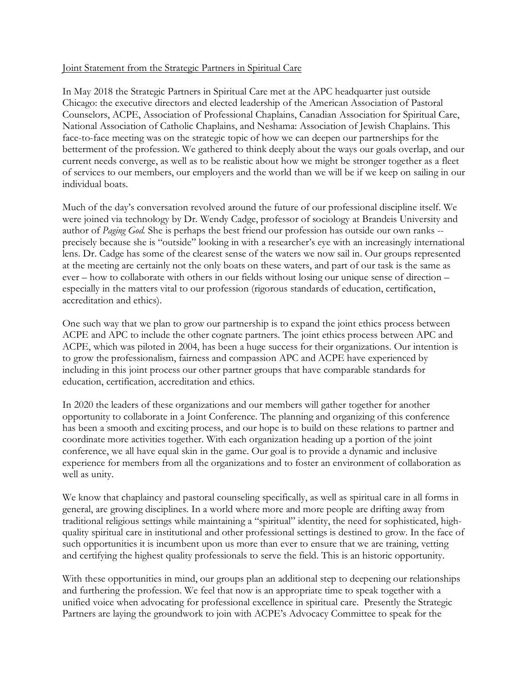## Joint Statement from the Strategic Partners in Spiritual Care

In May 2018 the Strategic Partners in Spiritual Care met at the APC headquarter just outside Chicago: the executive directors and elected leadership of the American Association of Pastoral Counselors, ACPE, Association of Professional Chaplains, Canadian Association for Spiritual Care, National Association of Catholic Chaplains, and Neshama: Association of Jewish Chaplains. This face-to-face meeting was on the strategic topic of how we can deepen our partnerships for the betterment of the profession. We gathered to think deeply about the ways our goals overlap, and our current needs converge, as well as to be realistic about how we might be stronger together as a fleet of services to our members, our employers and the world than we will be if we keep on sailing in our individual boats.

Much of the day's conversation revolved around the future of our professional discipline itself. We were joined via technology by Dr. Wendy Cadge, professor of sociology at Brandeis University and author of *Paging God.* She is perhaps the best friend our profession has outside our own ranks - precisely because she is "outside" looking in with a researcher's eye with an increasingly international lens. Dr. Cadge has some of the clearest sense of the waters we now sail in. Our groups represented at the meeting are certainly not the only boats on these waters, and part of our task is the same as ever – how to collaborate with others in our fields without losing our unique sense of direction – especially in the matters vital to our profession (rigorous standards of education, certification, accreditation and ethics).

One such way that we plan to grow our partnership is to expand the joint ethics process between ACPE and APC to include the other cognate partners. The joint ethics process between APC and ACPE, which was piloted in 2004, has been a huge success for their organizations. Our intention is to grow the professionalism, fairness and compassion APC and ACPE have experienced by including in this joint process our other partner groups that have comparable standards for education, certification, accreditation and ethics.

In 2020 the leaders of these organizations and our members will gather together for another opportunity to collaborate in a Joint Conference. The planning and organizing of this conference has been a smooth and exciting process, and our hope is to build on these relations to partner and coordinate more activities together. With each organization heading up a portion of the joint conference, we all have equal skin in the game. Our goal is to provide a dynamic and inclusive experience for members from all the organizations and to foster an environment of collaboration as well as unity.

We know that chaplaincy and pastoral counseling specifically, as well as spiritual care in all forms in general, are growing disciplines. In a world where more and more people are drifting away from traditional religious settings while maintaining a "spiritual" identity, the need for sophisticated, highquality spiritual care in institutional and other professional settings is destined to grow. In the face of such opportunities it is incumbent upon us more than ever to ensure that we are training, vetting and certifying the highest quality professionals to serve the field. This is an historic opportunity.

With these opportunities in mind, our groups plan an additional step to deepening our relationships and furthering the profession. We feel that now is an appropriate time to speak together with a unified voice when advocating for professional excellence in spiritual care. Presently the Strategic Partners are laying the groundwork to join with ACPE's Advocacy Committee to speak for the